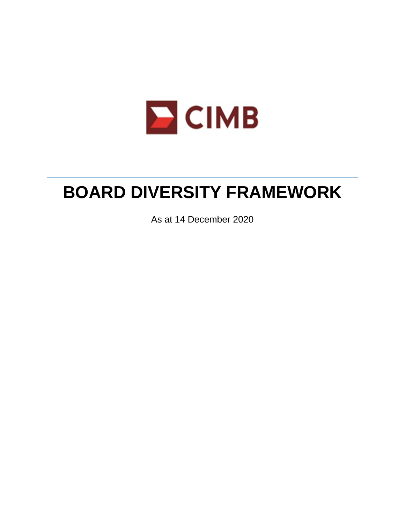

# **BOARD DIVERSITY FRAMEWORK**

As at 14 December 2020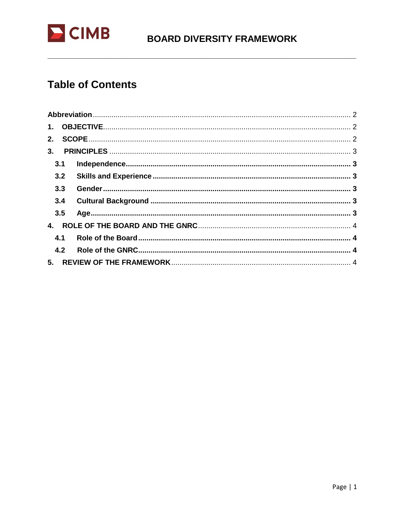

### **BOARD DIVERSITY FRAMEWORK**

### **Table of Contents**

| 3.  |  |
|-----|--|
| 3.1 |  |
|     |  |
| 3.3 |  |
| 3.4 |  |
| 3.5 |  |
| 4.  |  |
| 4.1 |  |
| 4.2 |  |
| 5.  |  |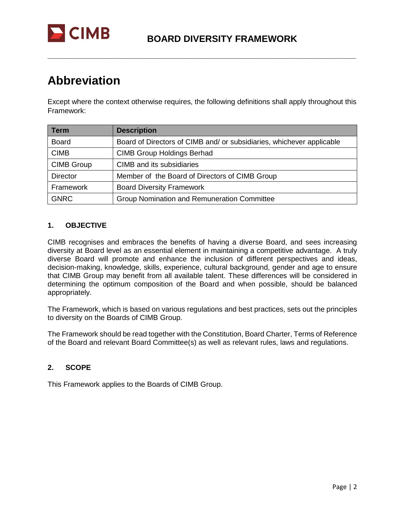

## <span id="page-2-0"></span>**Abbreviation**

Except where the context otherwise requires, the following definitions shall apply throughout this Framework:

**\_\_\_\_\_\_\_\_\_\_\_\_\_\_\_\_\_\_\_\_\_\_\_\_\_\_\_\_\_\_\_\_\_\_\_\_\_\_\_\_\_\_\_\_\_\_\_\_\_\_\_\_\_\_\_\_\_\_\_\_\_\_\_\_\_\_\_\_\_\_**

| <b>Term</b>       | <b>Description</b>                                                    |
|-------------------|-----------------------------------------------------------------------|
| <b>Board</b>      | Board of Directors of CIMB and/ or subsidiaries, whichever applicable |
| <b>CIMB</b>       | <b>CIMB Group Holdings Berhad</b>                                     |
| <b>CIMB Group</b> | CIMB and its subsidiaries                                             |
| <b>Director</b>   | Member of the Board of Directors of CIMB Group                        |
| Framework         | <b>Board Diversity Framework</b>                                      |
| <b>GNRC</b>       | <b>Group Nomination and Remuneration Committee</b>                    |

#### <span id="page-2-1"></span>**1. OBJECTIVE**

CIMB recognises and embraces the benefits of having a diverse Board, and sees increasing diversity at Board level as an essential element in maintaining a competitive advantage. A truly diverse Board will promote and enhance the inclusion of different perspectives and ideas, decision-making, knowledge, skills, experience, cultural background, gender and age to ensure that CIMB Group may benefit from all available talent. These differences will be considered in determining the optimum composition of the Board and when possible, should be balanced appropriately.

The Framework, which is based on various regulations and best practices, sets out the principles to diversity on the Boards of CIMB Group.

The Framework should be read together with the Constitution, Board Charter, Terms of Reference of the Board and relevant Board Committee(s) as well as relevant rules, laws and regulations.

#### <span id="page-2-2"></span>**2. SCOPE**

This Framework applies to the Boards of CIMB Group.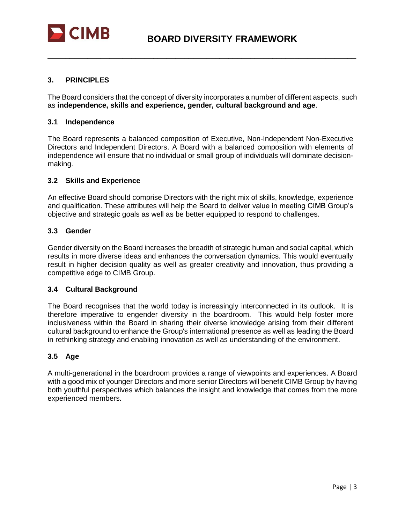

#### <span id="page-3-0"></span>**3. PRINCIPLES**

The Board considers that the concept of diversity incorporates a number of different aspects, such as **independence, skills and experience, gender, cultural background and age**.

**\_\_\_\_\_\_\_\_\_\_\_\_\_\_\_\_\_\_\_\_\_\_\_\_\_\_\_\_\_\_\_\_\_\_\_\_\_\_\_\_\_\_\_\_\_\_\_\_\_\_\_\_\_\_\_\_\_\_\_\_\_\_\_\_\_\_\_\_\_\_**

#### <span id="page-3-1"></span>**3.1 Independence**

The Board represents a balanced composition of Executive, Non-Independent Non-Executive Directors and Independent Directors. A Board with a balanced composition with elements of independence will ensure that no individual or small group of individuals will dominate decisionmaking.

#### <span id="page-3-2"></span>**3.2 Skills and Experience**

An effective Board should comprise Directors with the right mix of skills, knowledge, experience and qualification. These attributes will help the Board to deliver value in meeting CIMB Group's objective and strategic goals as well as be better equipped to respond to challenges.

#### <span id="page-3-3"></span>**3.3 Gender**

Gender diversity on the Board increases the breadth of strategic human and social capital, which results in more diverse ideas and enhances the conversation dynamics. This would eventually result in higher decision quality as well as greater creativity and innovation, thus providing a competitive edge to CIMB Group.

#### <span id="page-3-4"></span>**3.4 Cultural Background**

The Board recognises that the world today is increasingly interconnected in its outlook. It is therefore imperative to engender diversity in the boardroom. This would help foster more inclusiveness within the Board in sharing their diverse knowledge arising from their different cultural background to enhance the Group's international presence as well as leading the Board in rethinking strategy and enabling innovation as well as understanding of the environment.

#### <span id="page-3-5"></span>**3.5 Age**

A multi-generational in the boardroom provides a range of viewpoints and experiences. A Board with a good mix of younger Directors and more senior Directors will benefit CIMB Group by having both youthful perspectives which balances the insight and knowledge that comes from the more experienced members.